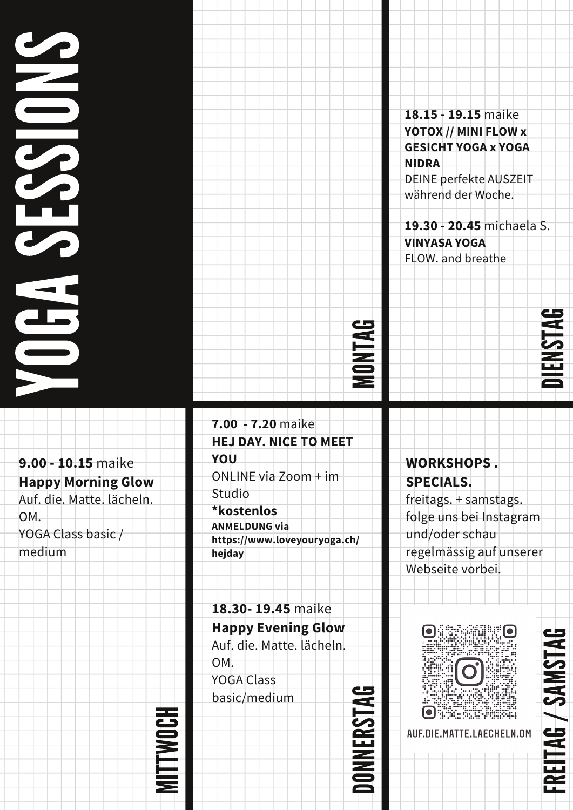### **Y**  $\qquad \qquad \qquad \qquad$ GASESS**In the Community**  $\qquad \qquad \qquad$ NS

**9.00 - 10.15** maike **Happy Morning Glow** Auf. die. Matte. lächeln. OM. YOGA Class basic / medium

**7.00 - 7.20** maike **HEJ DAY. NICE TO MEET YOU** ONLINE via Zoom + im Studio **\*kostenlos ANMELDUNG via https://www.loveyouryoga.ch/ hejday**

**18.30- 19.45** maike **Happy Evening Glow** Auf. die. Matte. lächeln. OM. YOGA Class basic/medium

SI

TWOc H

**18.15 - 19.15** maike **YOTOX // MINI FLOW x GESICHT YOGA x YOGA NIDRA** DEINE perfekte AUSZEIT während der Woche.

**19.30 - 20.45** michaela S. **VINYASA YOGA** FLOW. and breathe



D $\blacksquare$ NNER**S** TAG



**WORKSHOPS . SPECIALS.**

freitags. + samstags. folge uns bei Instagram und/oder schau regelmässig auf unserer Webseite vorbei.



FR $\Xi$ i  $\blacktriangleleft$ G/**S**  $\blacktriangleleft$  $\boldsymbol{\Sigma}$ **S** T $\blacktriangleleft$ G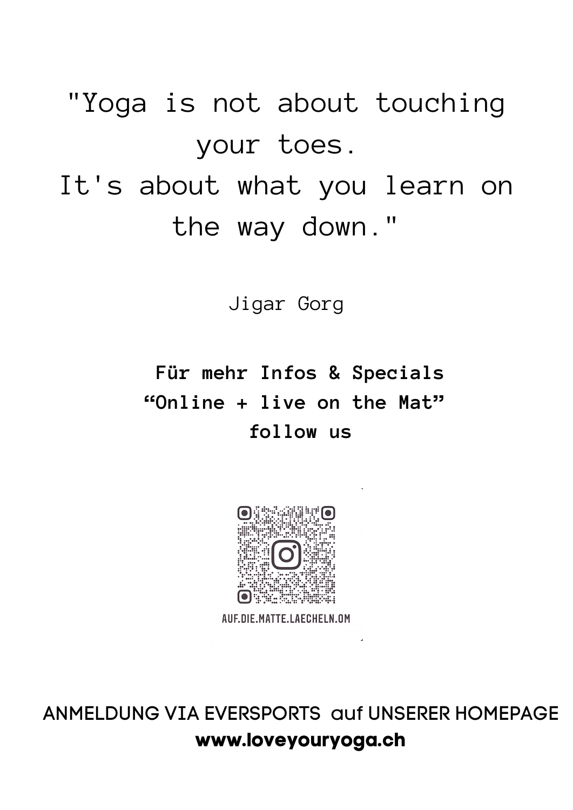"Yoga is not about touching your toes. It's about what you learn on the way down."

Jigar Gorg

#### **Für mehr Infos & Specials "Online + live on the Mat" follow us**



AUF.DIE.MATTE.LAECHELN.OM

ANMELDUNG VIA EVERSPORTS auf UNSERER HOMEPAGE **www.loveyouryoga.ch**